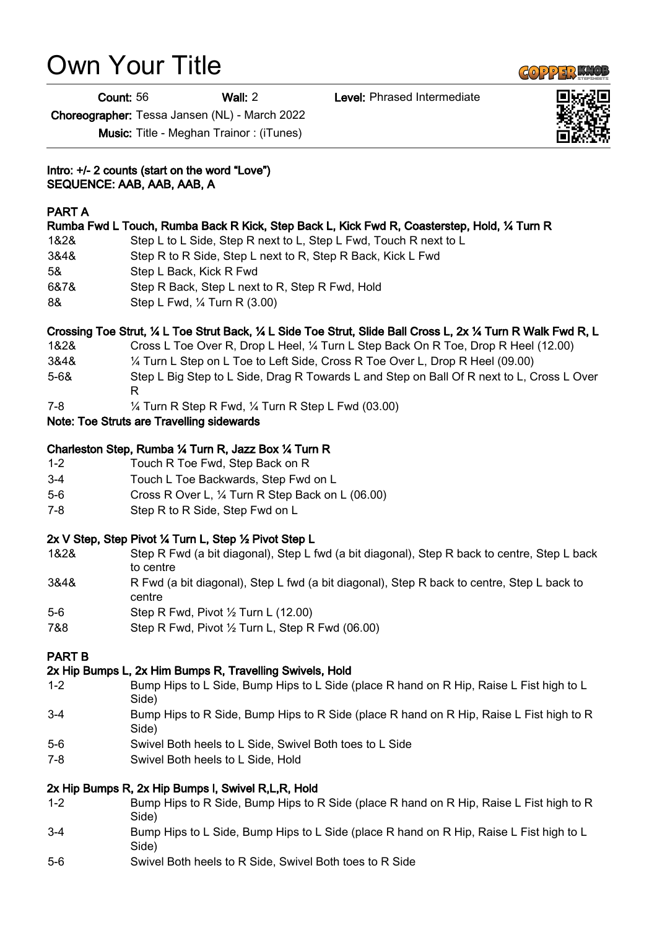# Own Your Title

Count: 56 Wall: 2 Level: Phrased Intermediate

Choreographer: Tessa Jansen (NL) - March 2022

Music: Title - Meghan Trainor : (iTunes)

Intro: +/- 2 counts (start on the word "Love") SEQUENCE: AAB, AAB, AAB, A

## PART A

|      | Rumba Fwd L Touch, Rumba Back R Kick, Step Back L, Kick Fwd R, Coasterstep, Hold, ¼ Turn R |
|------|--------------------------------------------------------------------------------------------|
| 1&2& | Step L to L Side, Step R next to L, Step L Fwd, Touch R next to L                          |
| 3&4& | Step R to R Side, Step L next to R, Step R Back, Kick L Fwd                                |
| 5&   | Step L Back, Kick R Fwd                                                                    |
| 6&7& | Step R Back, Step L next to R, Step R Fwd, Hold                                            |
| 8&   | Step L Fwd, 1/4 Turn R (3.00)                                                              |
|      |                                                                                            |

## Crossing Toe Strut, ¼ L Toe Strut Back, ¼ L Side Toe Strut, Slide Ball Cross L, 2x ¼ Turn R Walk Fwd R, L

- 1&2& Cross L Toe Over R, Drop L Heel, ¼ Turn L Step Back On R Toe, Drop R Heel (12.00)
- 3&4& ¼ Turn L Step on L Toe to Left Side, Cross R Toe Over L, Drop R Heel (09.00)
- 5-6& Step L Big Step to L Side, Drag R Towards L and Step on Ball Of R next to L, Cross L Over R
- 7-8 ¼ Turn R Step R Fwd, ¼ Turn R Step L Fwd (03.00)

## Note: Toe Struts are Travelling sidewards

## Charleston Step, Rumba ¼ Turn R, Jazz Box ¼ Turn R

- 1-2 Touch R Toe Fwd, Step Back on R
- 3-4 Touch L Toe Backwards, Step Fwd on L
- 5-6 Cross R Over L, ¼ Turn R Step Back on L (06.00)
- 7-8 Step R to R Side, Step Fwd on L

# 2x V Step, Step Pivot ¼ Turn L, Step ½ Pivot Step L

- 1&2& Step R Fwd (a bit diagonal), Step L fwd (a bit diagonal), Step R back to centre, Step L back to centre
- 3&4& R Fwd (a bit diagonal), Step L fwd (a bit diagonal), Step R back to centre, Step L back to centre
- 5-6 Step R Fwd, Pivot ½ Turn L (12.00)
- 7&8 Step R Fwd, Pivot ½ Turn L, Step R Fwd (06.00)

# PART B

# 2x Hip Bumps L, 2x Him Bumps R, Travelling Swivels, Hold

- 1-2 Bump Hips to L Side, Bump Hips to L Side (place R hand on R Hip, Raise L Fist high to L Side)
- 3-4 Bump Hips to R Side, Bump Hips to R Side (place R hand on R Hip, Raise L Fist high to R Side)
- 5-6 Swivel Both heels to L Side, Swivel Both toes to L Side
- 7-8 Swivel Both heels to L Side, Hold

# 2x Hip Bumps R, 2x Hip Bumps l, Swivel R,L,R, Hold

- 1-2 Bump Hips to R Side, Bump Hips to R Side (place R hand on R Hip, Raise L Fist high to R Side)
- 3-4 Bump Hips to L Side, Bump Hips to L Side (place R hand on R Hip, Raise L Fist high to L Side)
- 5-6 Swivel Both heels to R Side, Swivel Both toes to R Side